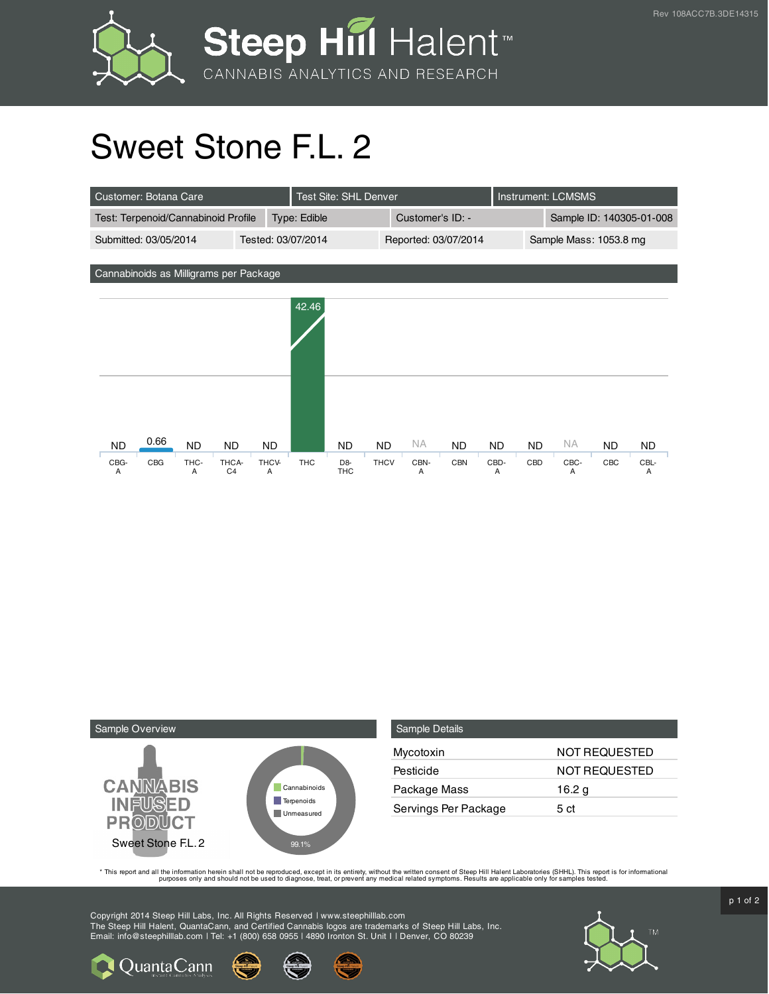

## Sweet Stone F.L. 2

| Customer: Botana Care                                                                                   | <b>Test Site: SHL Denver</b> | <b>Instrument: LCMSMS</b>                               |                                                    |                         |                        |                                            |                  |                        |  |
|---------------------------------------------------------------------------------------------------------|------------------------------|---------------------------------------------------------|----------------------------------------------------|-------------------------|------------------------|--------------------------------------------|------------------|------------------------|--|
| Test: Terpenoid/Cannabinoid Profile                                                                     |                              | Type: Edible                                            |                                                    | Customer's ID: -        |                        | Sample ID: 140305-01-008                   |                  |                        |  |
| Submitted: 03/05/2014                                                                                   | Tested: 03/07/2014           |                                                         |                                                    | Reported: 03/07/2014    |                        | Sample Mass: 1053.8 mg                     |                  |                        |  |
|                                                                                                         |                              |                                                         |                                                    |                         |                        |                                            |                  |                        |  |
| Cannabinoids as Milligrams per Package                                                                  |                              |                                                         |                                                    |                         |                        |                                            |                  |                        |  |
|                                                                                                         |                              | 42.46                                                   |                                                    |                         |                        |                                            |                  |                        |  |
| 0.66<br><b>ND</b><br><b>ND</b><br><b>ND</b><br>CBG<br>CBG-<br>THC-<br>THCA-<br>C <sub>4</sub><br>Α<br>A | <b>ND</b><br>THCV-<br>Α      | <b>ND</b><br><b>THC</b><br>D <sub>8</sub><br><b>THC</b> | <b>NA</b><br><b>ND</b><br><b>THCV</b><br>CBN-<br>Α | <b>ND</b><br><b>CBN</b> | <b>ND</b><br>CBD-<br>Α | <b>NA</b><br><b>ND</b><br>CBD<br>CBC-<br>Α | <b>ND</b><br>CBC | <b>ND</b><br>CBL-<br>Α |  |



**Q** Quanta Cann

| Sample Details       |                      |
|----------------------|----------------------|
| Mycotoxin            | NOT REQUESTED        |
| Pesticide            | <b>NOT REQUESTED</b> |
| Package Mass         | 16.2 g               |
| Servings Per Package | 5 ct                 |

This report and all the information herein shall not be reporduced, except in its entirety, without the written consent of Steep Hill Halent Laboratories (SHHL). This report is for informational all the instance, treat, or

Copyright 2014 Steep Hill Labs, Inc. All Rights Reserved | www.steephilllab.com The Steep Hill Halent, QuantaCann, and Certified Cannabis logos are trademarks of Steep Hill Labs, Inc. Email: info@steephilllab.com | Tel: +1 (800) 658 0955 | 4890 Ironton St. Unit I | Denver, CO 80239



 $p$  1 of 2